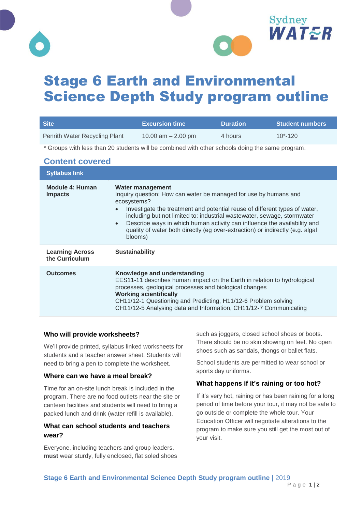



# Stage 6 Earth and Environmental Science Depth Study program outline

| <b>Site</b>                                                                                     |                                                                                                                                                                                                                                                                                                                                                                                                                                                                       | <b>Excursion time</b>                                                                                                                                                                                                                                                                                                                     | <b>Duration</b> | <b>Student numbers</b> |  |
|-------------------------------------------------------------------------------------------------|-----------------------------------------------------------------------------------------------------------------------------------------------------------------------------------------------------------------------------------------------------------------------------------------------------------------------------------------------------------------------------------------------------------------------------------------------------------------------|-------------------------------------------------------------------------------------------------------------------------------------------------------------------------------------------------------------------------------------------------------------------------------------------------------------------------------------------|-----------------|------------------------|--|
| Penrith Water Recycling Plant                                                                   |                                                                                                                                                                                                                                                                                                                                                                                                                                                                       | 10.00 $am - 2.00$ pm                                                                                                                                                                                                                                                                                                                      | 4 hours         | $10*-120$              |  |
| * Groups with less than 20 students will be combined with other schools doing the same program. |                                                                                                                                                                                                                                                                                                                                                                                                                                                                       |                                                                                                                                                                                                                                                                                                                                           |                 |                        |  |
| <b>Content covered</b>                                                                          |                                                                                                                                                                                                                                                                                                                                                                                                                                                                       |                                                                                                                                                                                                                                                                                                                                           |                 |                        |  |
| <b>Syllabus link</b>                                                                            |                                                                                                                                                                                                                                                                                                                                                                                                                                                                       |                                                                                                                                                                                                                                                                                                                                           |                 |                        |  |
| Module 4: Human<br><b>Impacts</b>                                                               | <b>Water management</b><br>Inquiry question: How can water be managed for use by humans and<br>ecosystems?<br>Investigate the treatment and potential reuse of different types of water,<br>$\bullet$<br>including but not limited to: industrial wastewater, sewage, stormwater<br>Describe ways in which human activity can influence the availability and<br>$\bullet$<br>quality of water both directly (eg over-extraction) or indirectly (e.g. algal<br>blooms) |                                                                                                                                                                                                                                                                                                                                           |                 |                        |  |
| <b>Learning Across</b><br>the Curriculum                                                        | <b>Sustainability</b>                                                                                                                                                                                                                                                                                                                                                                                                                                                 |                                                                                                                                                                                                                                                                                                                                           |                 |                        |  |
| <b>Outcomes</b>                                                                                 |                                                                                                                                                                                                                                                                                                                                                                                                                                                                       | Knowledge and understanding<br>EES11-11 describes human impact on the Earth in relation to hydrological<br>processes, geological processes and biological changes<br><b>Working scientifically</b><br>CH11/12-1 Questioning and Predicting, H11/12-6 Problem solving<br>CH11/12-5 Analysing data and Information, CH11/12-7 Communicating |                 |                        |  |

#### **Who will provide worksheets?**

We'll provide printed, syllabus linked worksheets for students and a teacher answer sheet. Students will need to bring a pen to complete the worksheet.

#### **Where can we have a meal break?**

Time for an on-site lunch break is included in the program. There are no food outlets near the site or canteen facilities and students will need to bring a packed lunch and drink (water refill is available).

### **What can school students and teachers wear?**

Everyone, including teachers and group leaders, **must** wear sturdy, fully enclosed, flat soled shoes such as joggers, closed school shoes or boots. There should be no skin showing on feet. No open shoes such as sandals, thongs or ballet flats.

School students are permitted to wear school or sports day uniforms.

#### **What happens if it's raining or too hot?**

If it's very hot, raining or has been raining for a long period of time before your tour, it may not be safe to go outside or complete the whole tour. Your Education Officer will negotiate alterations to the program to make sure you still get the most out of your visit.